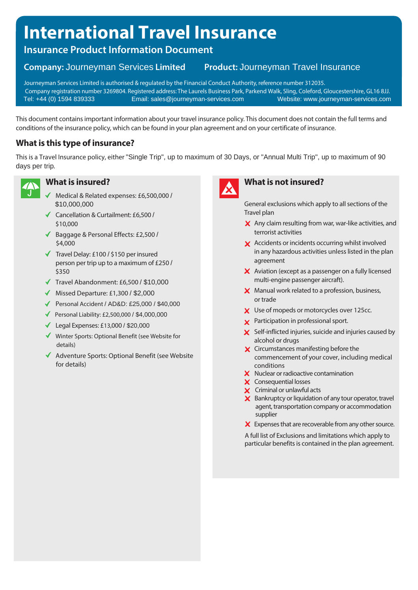# **International Travel Insurance**

# **Insurance Product Information Document**

#### **Product: Journeyman Travel Insurance Company: Journeyman Services Limited**

Journeyman Services Limited is authorised & regulated by the Financial Conduct Authority, reference number 312035. Company registration number 3269804. Registered address: The Laurels Business Park, Parkend Walk, Sling, Coleford, Gloucestershire, GL16 8JJ. Email: sales@journeyman-services.com Website: www.journeyman-services.com

This document containsimportant information about your travel insurance policy. This document does not contain the full terms and conditions of the insurance policy, which can be found in your plan agreement and on your certificate of insurance.

# **What is this type of insurance?**

This is a Travel Insurance policy, either "Single Trip", up to maximum of 30 Days, or "Annual Multi Trip", up to maximum of 90 days per trip.



### **What is insured?**

- Medical & Related expenses: £6,500,000 / \$10,000,000
- Cancellation & Curtailment: £6,500 / \$10,000
- ◆ Baggage & Personal Effects: £2,500 / \$4,000
- $\checkmark$  Travel Delay: £100 / \$150 per insured person per trip up to a maximum of £250 / \$350
- $\sqrt{ }$  Travel Abandonment: £6,500 / \$10,000
- $\blacklozenge$  Missed Departure: £1,300 / \$2,000
- Personal Accident / AD&D: £25,000 / \$40,000
- $\blacklozenge$  Personal Liability: £2,500,000 / \$4,000,000
- Legal Expenses: £13,000 / \$20,000
- Winter Sports: Optional Benefit (see Website for details)
- ◆ Adventure Sports: Optional Benefit (see Website for details)



# **What is not insured?**

General exclusions which apply to all sections of the Travel plan

- $\times$  Any claim resulting from war, war-like activities, and terrorist activities
- **X** Accidents or incidents occurring whilst involved in any hazardous activities unless listed in the plan agreement
- X Aviation (except as a passenger on a fully licensed multi-engine passenger aircraft).
- $\boldsymbol{\times}$  Manual work related to a profession, business, or trade
- X Use of mopeds or motorcycles over 125cc.
- **X** Participation in professional sport.
- $\boldsymbol{\times}$  Self-inflicted injuries, suicide and injuries caused by alcohol or drugs
- **X** Circumstances manifesting before the commencement of your cover, including medical conditions
- $\boldsymbol{\times}$  Nuclear or radioactive contamination
- X Consequential losses
- X Criminal or unlawful acts
- $\boldsymbol{\times}$  Bankruptcy or liquidation of any tour operator, travel agent, transportation company or accommodation supplier
- $\boldsymbol{\times}$  Expenses that are recoverable from any other source.

A full list of Exclusions and limitations which apply to particular benefits is contained in the plan agreement.